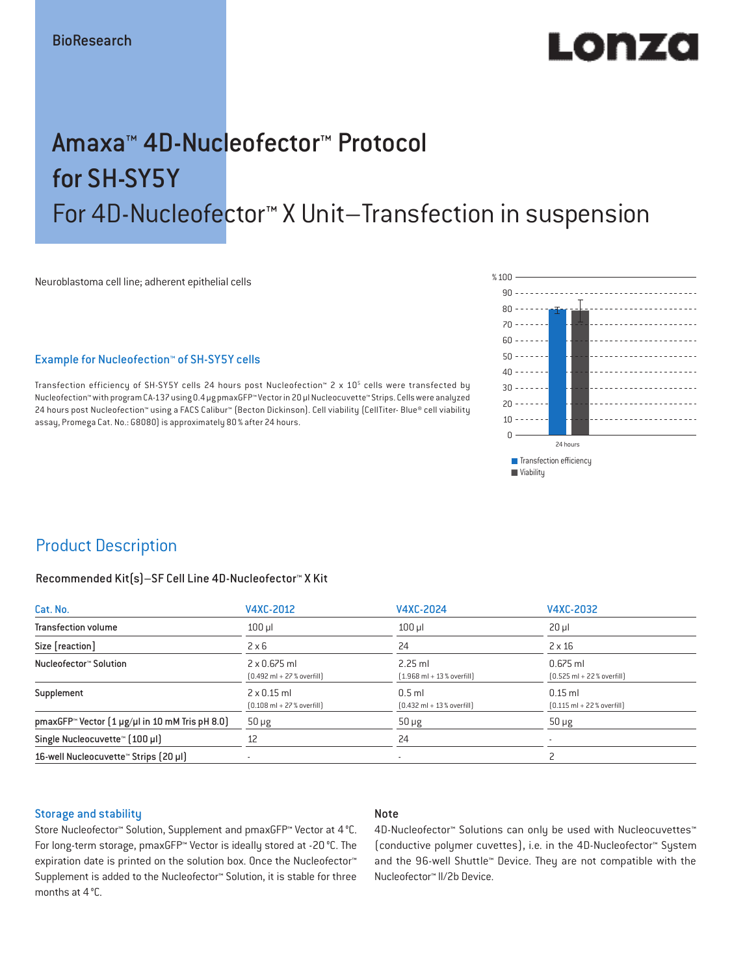# LO REAG

## Amaxa™ 4D-Nucleofector™ Protocol for SH-SY5Y For 4D-Nucleofector™ X Unit–Transfection in suspension

Neuroblastoma cell line; adherent epithelial cells

### Example for Nucleofection™ of SH-SY5Y cells

Transfection efficiency of SH-SY5Y cells 24 hours post Nucleofection™ 2 x 10<sup>5</sup> cells were transfected by Nucleofection™ with program CA-137 using 0.4 μg pmaxGFP™ Vector in 20 µl Nucleocuvette™ Strips. Cells were analyzed 24 hours post Nucleofection™ using a FACS Calibur™ (Becton Dickinson). Cell viability (CellTiter- Blue® cell viability assay, Promega Cat. No.: G8080) is approximately 80% after 24 hours.



### Product Description

#### Recommended Kit(s)–SF Cell Line 4D-Nucleofector™ X Kit

| Cat. No.                                                          | V4XC-2012                                                           | V4XC-2024                                                | V4XC-2032                                                  |  |
|-------------------------------------------------------------------|---------------------------------------------------------------------|----------------------------------------------------------|------------------------------------------------------------|--|
| <b>Transfection volume</b>                                        | $100$ $\mu$                                                         | $100$ $\mu$                                              | $20 \mu$                                                   |  |
| Size [reaction]                                                   | $2 \times 6$                                                        | 24                                                       | $2 \times 16$                                              |  |
| Nucleofector™ Solution                                            | $2 \times 0.675$ ml<br>$[0.492 \text{ ml} + 27 \text{ %} overfill]$ | $2.25$ ml<br>$(1.968 \text{ ml} + 13 % \text{overfill})$ | $0.675$ ml<br>$[0.525 \text{ ml} + 22 \text{ % overfill}]$ |  |
| Supplement                                                        | $2 \times 0.15$ ml<br>$[0.108 \text{ ml} + 27 \text{ %} overfill]$  | $0.5$ ml<br>$[0.432 \text{ ml} + 13 \text{ %} overfill]$ | $0.15$ ml<br>$[0.115 \text{ ml} + 22 \text{ % overfill}]$  |  |
| pmaxGFP <sup>*</sup> Vector $(1 \mu g/\mu)$ in 10 mM Tris pH 8.0) | $50 \mu g$                                                          | $50 \mu g$                                               | $50 \mu g$                                                 |  |
| Single Nucleocuvette™ (100 µl)                                    | 12                                                                  | 24                                                       |                                                            |  |
| 16-well Nucleocuvette <sup>™</sup> Strips [20 µl]                 | $\overline{\phantom{a}}$                                            | $\sim$                                                   |                                                            |  |

#### Storage and stability

### Note

Store Nucleofector™ Solution, Supplement and pmaxGFP™ Vector at 4°C. For long-term storage, pmaxGFP™ Vector is ideally stored at -20 °C. The expiration date is printed on the solution box. Once the Nucleofector™ Supplement is added to the Nucleofector™ Solution, it is stable for three months at 4°C.

4D-Nucleofector™ Solutions can only be used with Nucleocuvettes™ (conductive polymer cuvettes), i.e. in the 4D-Nucleofector™ System and the 96-well Shuttle™ Device. They are not compatible with the Nucleofector™ II/2b Device.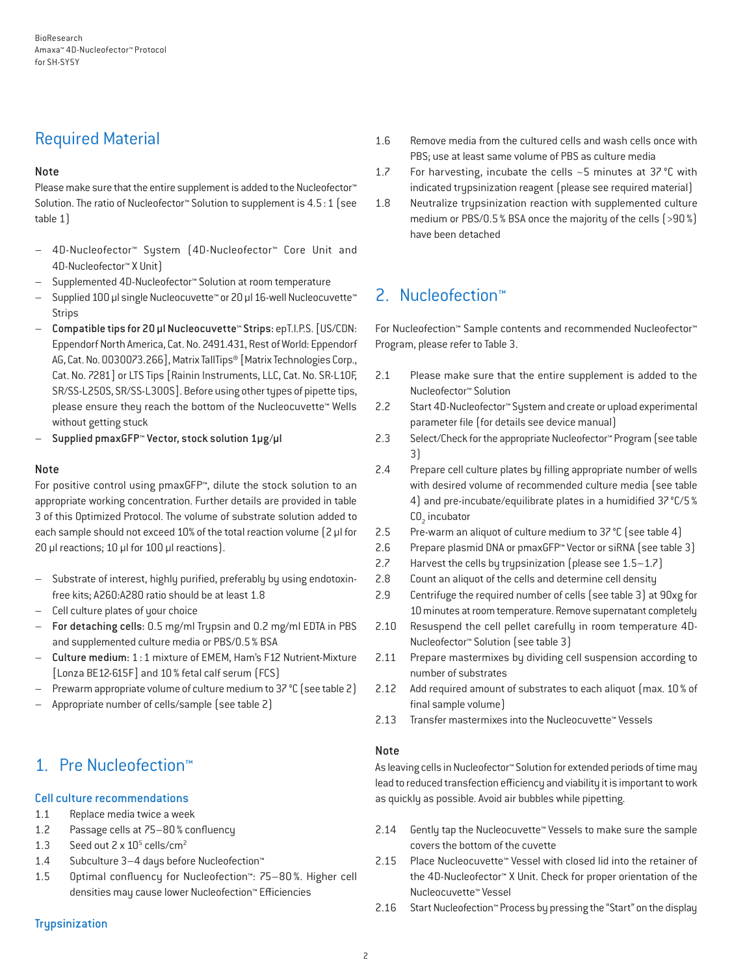### Required Material

### Note

Please make sure that the entire supplement is added to the Nucleofector<sup>™</sup> Solution. The ratio of Nucleofector™ Solution to supplement is 4.5:1 (see table 1)

- 4D-Nucleofector™ System (4D-Nucleofector™ Core Unit and 4D-Nucleofector™ X Unit)
- Supplemented 4D-Nucleofector™ Solution at room temperature
- Supplied 100 µl single Nucleocuvette™ or 20 µl 16-well Nucleocuvette™ Strips
- Compatible tips for 20 µl Nucleocuvette™ Strips: epT.I.P.S. [US/CDN: Eppendorf North America, Cat. No. 2491.431, Rest of World: Eppendorf AG, Cat. No. 0030073.266], Matrix TallTips® [Matrix Technologies Corp., Cat. No. 7281] or LTS Tips [Rainin Instruments, LLC, Cat. No. SR-L10F, SR/SS-L250S, SR/SS-L300S]. Before using other types of pipette tips, please ensure they reach the bottom of the Nucleocuvette™ Wells without getting stuck
- Supplied pmaxGFP™ Vector, stock solution 1µg/µl

### Note

For positive control using pmaxGFP™, dilute the stock solution to an appropriate working concentration. Further details are provided in table 3 of this Optimized Protocol. The volume of substrate solution added to each sample should not exceed 10% of the total reaction volume [2 µl for 20 µl reactions; 10 µl for 100 µl reactions).

- Substrate of interest, highly purified, preferably by using endotoxinfree kits; A260:A280 ratio should be at least 1.8
- Cell culture plates of your choice
- For detaching cells: 0.5 mg/ml Trypsin and 0.2 mg/ml EDTA in PBS and supplemented culture media or PBS/0.5% BSA
- Culture medium: 1:1 mixture of EMEM, Ham's F12 Nutrient-Mixture [Lonza BE12-615F] and 10% fetal calf serum (FCS)
- Prewarm appropriate volume of culture medium to 37 °C (see table 2)
- Appropriate number of cells/sample (see table 2)

### 1. Pre Nucleofection™

### Cell culture recommendations

- 1.1 Replace media twice a week
- 1.2 Passage cells at 75–80% confluency
- 1.3 Seed out  $2 \times 10^5$  cells/cm<sup>2</sup>
- 1.4 Subculture 3–4 days before Nucleofection™
- 1.5 Optimal confluency for Nucleofection™: 75–80 %. Higher cell densities may cause lower Nucleofection™ Efficiencies

### **Trupsinization**

- 1.6 Remove media from the cultured cells and wash cells once with PBS; use at least same volume of PBS as culture media
- 1.7 For harvesting, incubate the cells ~5 minutes at 37 °C with indicated trypsinization reagent (please see required material)
- 1.8 Neutralize trypsinization reaction with supplemented culture medium or PBS/0.5% BSA once the majority of the cells (>90%) have been detached

### 2. Nucleofection™

For Nucleofection™ Sample contents and recommended Nucleofector™ Program, please refer to Table 3.

- 2.1 Please make sure that the entire supplement is added to the Nucleofector™ Solution
- 2.2 Start 4D-Nucleofector™ System and create or upload experimental parameter file (for details see device manual)
- 2.3 Select/Check for the appropriate Nucleofector™ Program (see table 3)
- 2.4 Prepare cell culture plates by filling appropriate number of wells with desired volume of recommended culture media (see table 4) and pre-incubate/equilibrate plates in a humidified 37°C/5%  $CO<sub>2</sub>$  incubator
- 2.5 Pre-warm an aliquot of culture medium to 37°C (see table 4)
- 2.6 Prepare plasmid DNA or pmaxGFP™ Vector or siRNA (see table 3)
- 2.7 Harvest the cells by trypsinization (please see 1.5–1.7)
- 2.8 Count an aliquot of the cells and determine cell density
- 2.9 Centrifuge the required number of cells (see table 3) at 90xg for 10 minutes at room temperature. Remove supernatant completely
- 2.10 Resuspend the cell pellet carefully in room temperature 4D-Nucleofector™ Solution (see table 3)
- 2.11 Prepare mastermixes by dividing cell suspension according to number of substrates
- 2.12 Add required amount of substrates to each aliquot (max. 10% of final sample volume)
- 2.13 Transfer mastermixes into the Nucleocuvette™ Vessels

### Note

As leaving cells in Nucleofector™ Solution for extended periods of time may lead to reduced transfection efficiency and viability it is important to work as quickly as possible. Avoid air bubbles while pipetting.

- 2.14 Gently tap the Nucleocuvette™ Vessels to make sure the sample covers the bottom of the cuvette
- 2.15 Place Nucleocuvette™ Vessel with closed lid into the retainer of the 4D-Nucleofector™ X Unit. Check for proper orientation of the Nucleocuvette™ Vessel
- 2.16 Start Nucleofection™ Process by pressing the "Start" on the display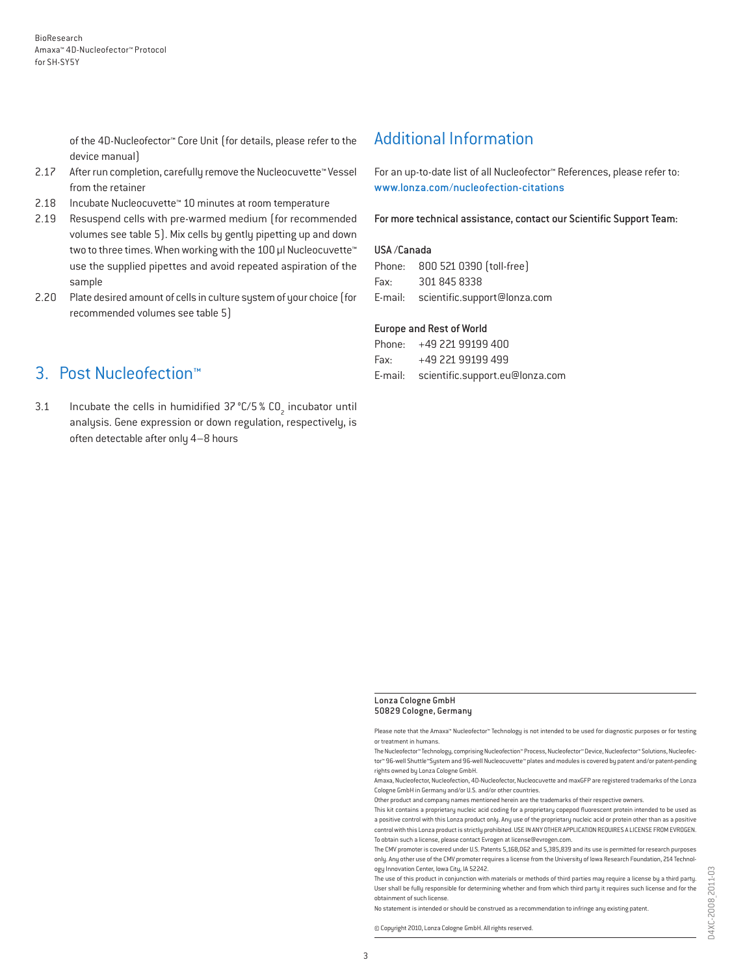of the 4D-Nucleofector™ Core Unit (for details, please refer to the device manual)

- 2.17 After run completion, carefully remove the Nucleocuvette™ Vessel from the retainer
- 2.18 Incubate Nucleocuvette™ 10 minutes at room temperature
- 2.19 Resuspend cells with pre-warmed medium (for recommended volumes see table 5). Mix cells by gently pipetting up and down two to three times. When working with the 100 µl Nucleocuvette™ use the supplied pipettes and avoid repeated aspiration of the sample
- 2.20 Plate desired amount of cells in culture system of your choice (for recommended volumes see table 5)

### 3. Post Nucleofection™

3.1 Incubate the cells in humidified  $37^{\circ}$ C/5 % CO<sub>2</sub> incubator until analysis. Gene expression or down regulation, respectively, is often detectable after only 4–8 hours

### Additional Information

For an up-to-date list of all Nucleofector™ References, please refer to: www.lonza.com/nucleofection-citations

For more technical assistance, contact our Scientific Support Team:

#### USA /Canada

|          | Phone: 800 521 0390 [toll-free]      |
|----------|--------------------------------------|
| Fax: Fax | 301 845 8338                         |
|          | E-mail: scientific.support@lonza.com |

#### Europe and Rest of World

|          | Phone: +49 221 99199 400                |
|----------|-----------------------------------------|
| Fax: Fax | +49 221 99199 499                       |
|          | E-mail: scientific.support.eu@lonza.com |

#### Lonza Cologne GmbH 50829 Cologne, Germany

Please note that the Amaxa™ Nucleofector™ Technology is not intended to be used for diagnostic purposes or for testing or treatment in humans.

The Nucleofector™ Technology, comprising Nucleofection™ Process, Nucleofector™ Device, Nucleofector™ Solutions, Nucleofector™ 96-well Shuttle™System and 96-well Nucleocuvette™ plates and modules is covered by patent and/or patent-pending rights owned by Lonza Cologne GmbH.

Amaxa, Nucleofector, Nucleofection, 4D-Nucleofector, Nucleocuvette and maxGFP are registered trademarks of the Lonza Cologne GmbH in Germany and/or U.S. and/or other countries.

Other product and company names mentioned herein are the trademarks of their respective owners.

This kit contains a proprietary nucleic acid coding for a proprietary copepod fluorescent protein intended to be used as a positive control with this Lonza product only. Any use of the proprietary nucleic acid or protein other than as a positive control with this Lonza product is strictly prohibited. USE IN ANY OTHER APPLICATION REQUIRES A LICENSE FROM EVROGEN. To obtain such a license, please contact Evrogen at license@evrogen.com.

The CMV promoter is covered under U.S. Patents 5,168,062 and 5,385,839 and its use is permitted for research purposes only. Any other use of the CMV promoter requires a license from the University of Iowa Research Foundation, 214 Technology Innovation Center, Iowa City, IA 52242.

The use of this product in conjunction with materials or methods of third parties may require a license by a third party. User shall be fully responsible for determining whether and from which third party it requires such license and for the obtainment of such license.

No statement is intended or should be construed as a recommendation to infringe any existing patent.

© Copyright 2010, Lonza Cologne GmbH. All rights reserved.